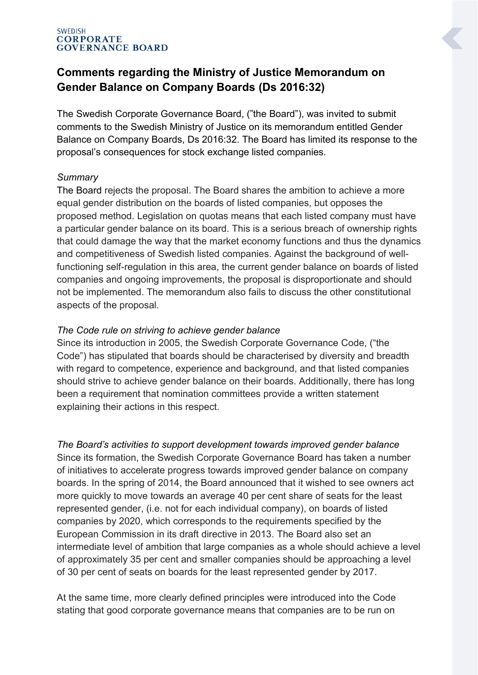# **Comments regarding the Ministry of Justice Memorandum on Gender Balance on Company Boards (Ds 2016:32)**

The Swedish Corporate Governance Board, ("the Board"), was invited to submit comments to the Swedish Ministry of Justice on its memorandum entitled Gender Balance on Company Boards, Ds 2016:32. The Board has limited its response to the proposal's consequences for stock exchange listed companies.

## *Summary*

The Board rejects the proposal. The Board shares the ambition to achieve a more equal gender distribution on the boards of listed companies, but opposes the proposed method. Legislation on quotas means that each listed company must have a particular gender balance on its board. This is a serious breach of ownership rights that could damage the way that the market economy functions and thus the dynamics and competitiveness of Swedish listed companies. Against the background of wellfunctioning self-regulation in this area, the current gender balance on boards of listed companies and ongoing improvements, the proposal is disproportionate and should not be implemented. The memorandum also fails to discuss the other constitutional aspects of the proposal.

# *The Code rule on striving to achieve gender balance*

Since its introduction in 2005, the Swedish Corporate Governance Code, ("the Code") has stipulated that boards should be characterised by diversity and breadth with regard to competence, experience and background, and that listed companies should strive to achieve gender balance on their boards. Additionally, there has long been a requirement that nomination committees provide a written statement explaining their actions in this respect.

*The Board's activities to support development towards improved gender balance*  Since its formation, the Swedish Corporate Governance Board has taken a number of initiatives to accelerate progress towards improved gender balance on company boards. In the spring of 2014, the Board announced that it wished to see owners act more quickly to move towards an average 40 per cent share of seats for the least represented gender, (i.e. not for each individual company), on boards of listed companies by 2020, which corresponds to the requirements specified by the European Commission in its draft directive in 2013. The Board also set an intermediate level of ambition that large companies as a whole should achieve a level of approximately 35 per cent and smaller companies should be approaching a level of 30 per cent of seats on boards for the least represented gender by 2017.

At the same time, more clearly defined principles were introduced into the Code stating that good corporate governance means that companies are to be run on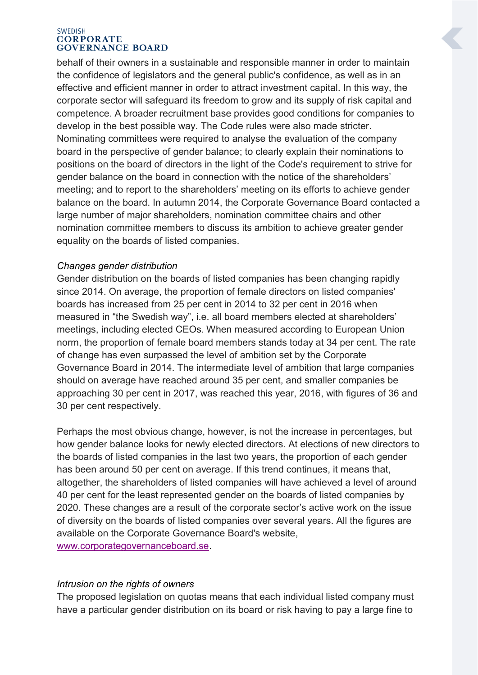behalf of their owners in a sustainable and responsible manner in order to maintain the confidence of legislators and the general public's confidence, as well as in an effective and efficient manner in order to attract investment capital. In this way, the corporate sector will safeguard its freedom to grow and its supply of risk capital and competence. A broader recruitment base provides good conditions for companies to develop in the best possible way. The Code rules were also made stricter. Nominating committees were required to analyse the evaluation of the company board in the perspective of gender balance; to clearly explain their nominations to positions on the board of directors in the light of the Code's requirement to strive for gender balance on the board in connection with the notice of the shareholders' meeting; and to report to the shareholders' meeting on its efforts to achieve gender balance on the board. In autumn 2014, the Corporate Governance Board contacted a large number of major shareholders, nomination committee chairs and other nomination committee members to discuss its ambition to achieve greater gender equality on the boards of listed companies.

## *Changes gender distribution*

Gender distribution on the boards of listed companies has been changing rapidly since 2014. On average, the proportion of female directors on listed companies' boards has increased from 25 per cent in 2014 to 32 per cent in 2016 when measured in "the Swedish way", i.e. all board members elected at shareholders' meetings, including elected CEOs. When measured according to European Union norm, the proportion of female board members stands today at 34 per cent. The rate of change has even surpassed the level of ambition set by the Corporate Governance Board in 2014. The intermediate level of ambition that large companies should on average have reached around 35 per cent, and smaller companies be approaching 30 per cent in 2017, was reached this year, 2016, with figures of 36 and 30 per cent respectively.

Perhaps the most obvious change, however, is not the increase in percentages, but how gender balance looks for newly elected directors. At elections of new directors to the boards of listed companies in the last two years, the proportion of each gender has been around 50 per cent on average. If this trend continues, it means that, altogether, the shareholders of listed companies will have achieved a level of around 40 per cent for the least represented gender on the boards of listed companies by 2020. These changes are a result of the corporate sector's active work on the issue of diversity on the boards of listed companies over several years. All the figures are available on the Corporate Governance Board's website, [www.corporategovernanceboard.se.](http://www.corporategovernanceboard.se/)

### *Intrusion on the rights of owners*

The proposed legislation on quotas means that each individual listed company must have a particular gender distribution on its board or risk having to pay a large fine to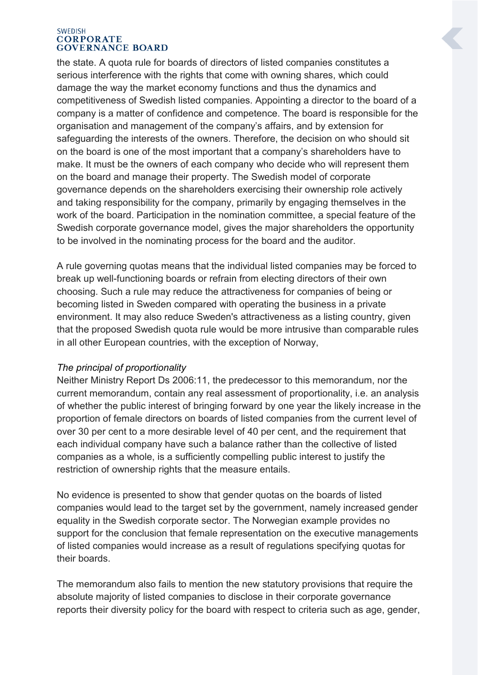the state. A quota rule for boards of directors of listed companies constitutes a serious interference with the rights that come with owning shares, which could damage the way the market economy functions and thus the dynamics and competitiveness of Swedish listed companies. Appointing a director to the board of a company is a matter of confidence and competence. The board is responsible for the organisation and management of the company's affairs, and by extension for safeguarding the interests of the owners. Therefore, the decision on who should sit on the board is one of the most important that a company's shareholders have to make. It must be the owners of each company who decide who will represent them on the board and manage their property. The Swedish model of corporate governance depends on the shareholders exercising their ownership role actively and taking responsibility for the company, primarily by engaging themselves in the work of the board. Participation in the nomination committee, a special feature of the Swedish corporate governance model, gives the major shareholders the opportunity to be involved in the nominating process for the board and the auditor.

A rule governing quotas means that the individual listed companies may be forced to break up well-functioning boards or refrain from electing directors of their own choosing. Such a rule may reduce the attractiveness for companies of being or becoming listed in Sweden compared with operating the business in a private environment. It may also reduce Sweden's attractiveness as a listing country, given that the proposed Swedish quota rule would be more intrusive than comparable rules in all other European countries, with the exception of Norway,

# *The principal of proportionality*

Neither Ministry Report Ds 2006:11, the predecessor to this memorandum, nor the current memorandum, contain any real assessment of proportionality, i.e. an analysis of whether the public interest of bringing forward by one year the likely increase in the proportion of female directors on boards of listed companies from the current level of over 30 per cent to a more desirable level of 40 per cent, and the requirement that each individual company have such a balance rather than the collective of listed companies as a whole, is a sufficiently compelling public interest to justify the restriction of ownership rights that the measure entails.

No evidence is presented to show that gender quotas on the boards of listed companies would lead to the target set by the government, namely increased gender equality in the Swedish corporate sector. The Norwegian example provides no support for the conclusion that female representation on the executive managements of listed companies would increase as a result of regulations specifying quotas for their boards.

The memorandum also fails to mention the new statutory provisions that require the absolute majority of listed companies to disclose in their corporate governance reports their diversity policy for the board with respect to criteria such as age, gender,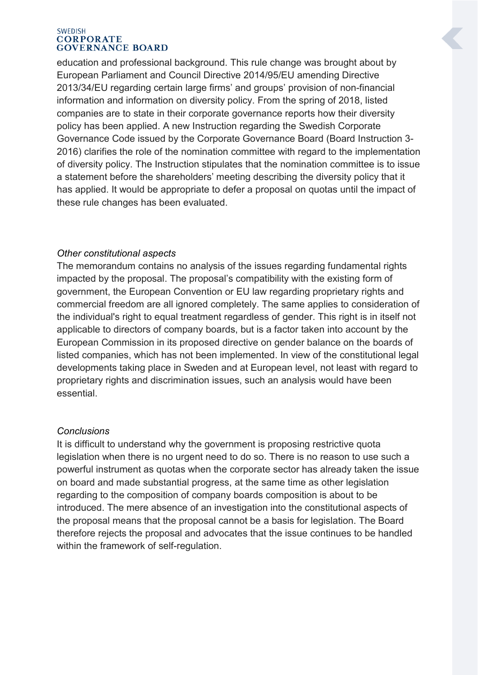education and professional background. This rule change was brought about by European Parliament and Council Directive 2014/95/EU amending Directive 2013/34/EU regarding certain large firms' and groups' provision of non-financial information and information on diversity policy. From the spring of 2018, listed companies are to state in their corporate governance reports how their diversity policy has been applied. A new Instruction regarding the Swedish Corporate Governance Code issued by the Corporate Governance Board (Board Instruction 3- 2016) clarifies the role of the nomination committee with regard to the implementation of diversity policy. The Instruction stipulates that the nomination committee is to issue a statement before the shareholders' meeting describing the diversity policy that it has applied. It would be appropriate to defer a proposal on quotas until the impact of these rule changes has been evaluated.

## *Other constitutional aspects*

The memorandum contains no analysis of the issues regarding fundamental rights impacted by the proposal. The proposal's compatibility with the existing form of government, the European Convention or EU law regarding proprietary rights and commercial freedom are all ignored completely. The same applies to consideration of the individual's right to equal treatment regardless of gender. This right is in itself not applicable to directors of company boards, but is a factor taken into account by the European Commission in its proposed directive on gender balance on the boards of listed companies, which has not been implemented. In view of the constitutional legal developments taking place in Sweden and at European level, not least with regard to proprietary rights and discrimination issues, such an analysis would have been essential.

# *Conclusions*

It is difficult to understand why the government is proposing restrictive quota legislation when there is no urgent need to do so. There is no reason to use such a powerful instrument as quotas when the corporate sector has already taken the issue on board and made substantial progress, at the same time as other legislation regarding to the composition of company boards composition is about to be introduced. The mere absence of an investigation into the constitutional aspects of the proposal means that the proposal cannot be a basis for legislation. The Board therefore rejects the proposal and advocates that the issue continues to be handled within the framework of self-regulation.